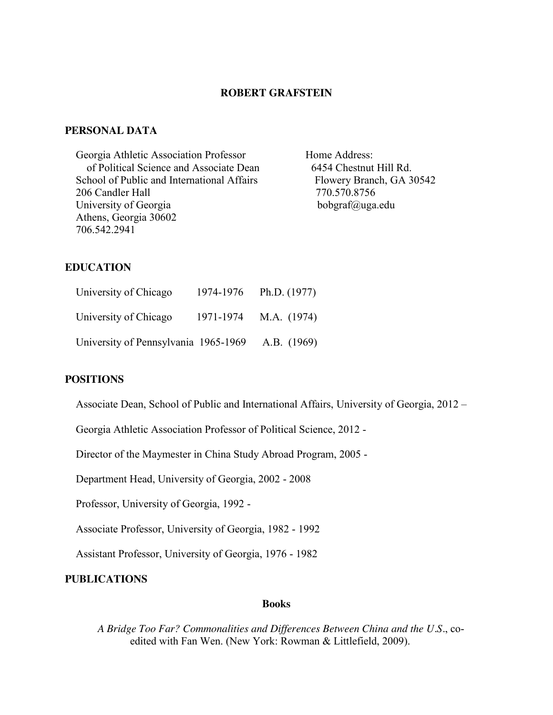### **ROBERT GRAFSTEIN**

# **PERSONAL DATA**

| Georgia Athletic Association Professor     |
|--------------------------------------------|
| of Political Science and Associate Dean    |
| School of Public and International Affairs |
| 206 Candler Hall                           |
| University of Georgia                      |
| Athens, Georgia 30602                      |
| 706.542.2941                               |
|                                            |

Home Address: 6454 Chestnut Hill Rd. Flowery Branch, GA 30542 770.570.8756 bobgraf@uga.edu

# **EDUCATION**

| University of Chicago                | 1974-1976 | Ph.D. $(1977)$ |
|--------------------------------------|-----------|----------------|
| University of Chicago                | 1971-1974 | M.A. (1974)    |
| University of Pennsylvania 1965-1969 |           | A.B. (1969)    |

# **POSITIONS**

Associate Dean, School of Public and International Affairs, University of Georgia, 2012 –

Georgia Athletic Association Professor of Political Science, 2012 -

Director of the Maymester in China Study Abroad Program, 2005 -

Department Head, University of Georgia, 2002 - 2008

Professor, University of Georgia, 1992 -

Associate Professor, University of Georgia, 1982 - 1992

Assistant Professor, University of Georgia, 1976 - 1982

# **PUBLICATIONS**

#### **Books**

*A Bridge Too Far? Commonalities and Differences Between China and the U.S.*, coedited with Fan Wen. (New York: Rowman & Littlefield, 2009).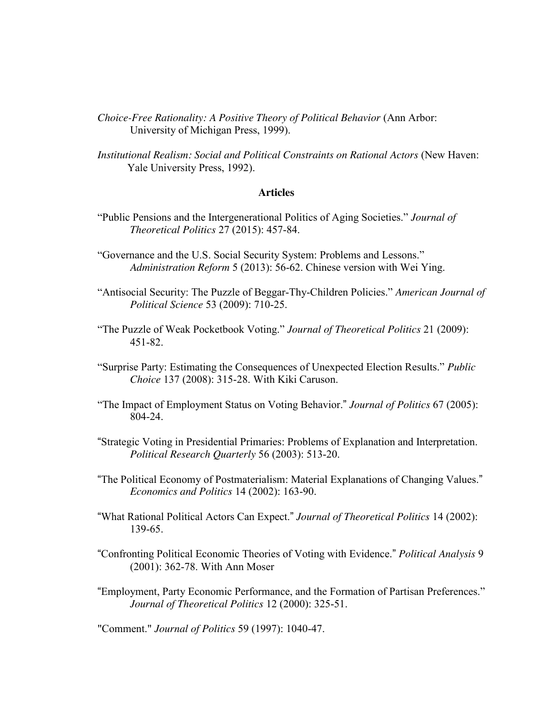- *Choice-Free Rationality: A Positive Theory of Political Behavior* (Ann Arbor: University of Michigan Press, 1999).
- *Institutional Realism: Social and Political Constraints on Rational Actors* (New Haven: Yale University Press, 1992).

### **Articles**

- "Public Pensions and the Intergenerational Politics of Aging Societies." *Journal of Theoretical Politics* 27 (2015): 457-84.
- "Governance and the U.S. Social Security System: Problems and Lessons." *Administration Reform* 5 (2013): 56-62. Chinese version with Wei Ying.
- "Antisocial Security: The Puzzle of Beggar-Thy-Children Policies." *American Journal of Political Science* 53 (2009): 710-25.
- "The Puzzle of Weak Pocketbook Voting." *Journal of Theoretical Politics* 21 (2009): 451-82.
- "Surprise Party: Estimating the Consequences of Unexpected Election Results." *Public Choice* 137 (2008): 315-28. With Kiki Caruson.
- "The Impact of Employment Status on Voting Behavior." *Journal of Politics* 67 (2005): 804-24.
- "Strategic Voting in Presidential Primaries: Problems of Explanation and Interpretation. *Political Research Quarterly* 56 (2003): 513-20.
- "The Political Economy of Postmaterialism: Material Explanations of Changing Values." *Economics and Politics* 14 (2002): 163-90.
- "What Rational Political Actors Can Expect." *Journal of Theoretical Politics* 14 (2002): 139-65.
- "Confronting Political Economic Theories of Voting with Evidence." *Political Analysis* 9 (2001): 362-78. With Ann Moser
- "Employment, Party Economic Performance, and the Formation of Partisan Preferences." *Journal of Theoretical Politics* 12 (2000): 325-51.

"Comment." *Journal of Politics* 59 (1997): 1040-47.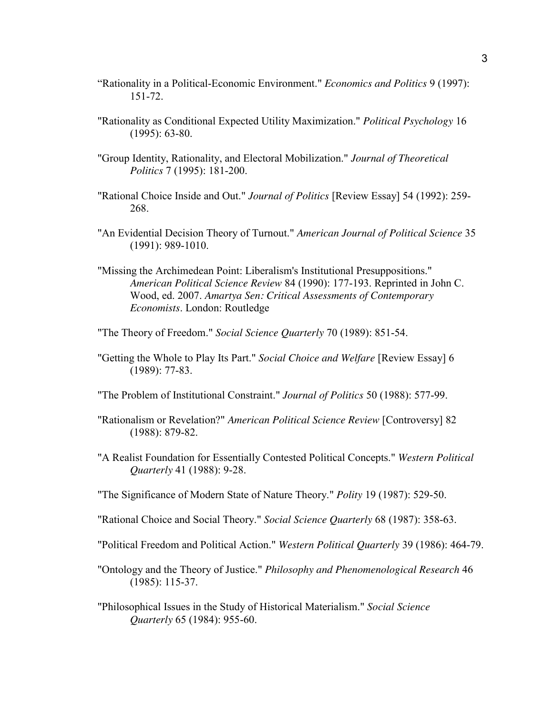- "Rationality in a Political-Economic Environment." *Economics and Politics* 9 (1997): 151-72.
- "Rationality as Conditional Expected Utility Maximization." *Political Psychology* 16 (1995): 63-80.
- "Group Identity, Rationality, and Electoral Mobilization." *Journal of Theoretical Politics* 7 (1995): 181-200.
- "Rational Choice Inside and Out." *Journal of Politics* [Review Essay] 54 (1992): 259- 268.
- "An Evidential Decision Theory of Turnout." *American Journal of Political Science* 35 (1991): 989-1010.
- "Missing the Archimedean Point: Liberalism's Institutional Presuppositions." *American Political Science Review* 84 (1990): 177-193. Reprinted in John C. Wood, ed. 2007. *Amartya Sen: Critical Assessments of Contemporary Economists*. London: Routledge
- "The Theory of Freedom." *Social Science Quarterly* 70 (1989): 851-54.
- "Getting the Whole to Play Its Part." *Social Choice and Welfare* [Review Essay] 6 (1989): 77-83.
- "The Problem of Institutional Constraint." *Journal of Politics* 50 (1988): 577-99.
- "Rationalism or Revelation?" *American Political Science Review* [Controversy] 82 (1988): 879-82.
- "A Realist Foundation for Essentially Contested Political Concepts." *Western Political Quarterly* 41 (1988): 9-28.
- "The Significance of Modern State of Nature Theory." *Polity* 19 (1987): 529-50.
- "Rational Choice and Social Theory." *Social Science Quarterly* 68 (1987): 358-63.
- "Political Freedom and Political Action." *Western Political Quarterly* 39 (1986): 464-79.
- "Ontology and the Theory of Justice." *Philosophy and Phenomenological Research* 46 (1985): 115-37.
- "Philosophical Issues in the Study of Historical Materialism." *Social Science Quarterly* 65 (1984): 955-60.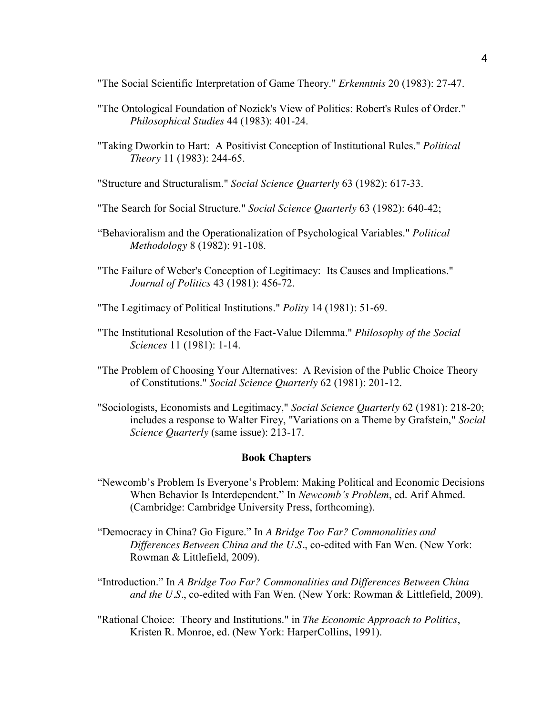"The Social Scientific Interpretation of Game Theory." *Erkenntnis* 20 (1983): 27-47.

- "The Ontological Foundation of Nozick's View of Politics: Robert's Rules of Order." *Philosophical Studies* 44 (1983): 401-24.
- "Taking Dworkin to Hart: A Positivist Conception of Institutional Rules." *Political Theory* 11 (1983): 244-65.
- "Structure and Structuralism." *Social Science Quarterly* 63 (1982): 617-33.
- "The Search for Social Structure." *Social Science Quarterly* 63 (1982): 640-42;
- "Behavioralism and the Operationalization of Psychological Variables." *Political Methodology* 8 (1982): 91-108.
- "The Failure of Weber's Conception of Legitimacy: Its Causes and Implications." *Journal of Politics* 43 (1981): 456-72.
- "The Legitimacy of Political Institutions." *Polity* 14 (1981): 51-69.
- "The Institutional Resolution of the Fact-Value Dilemma." *Philosophy of the Social Sciences* 11 (1981): 1-14.
- "The Problem of Choosing Your Alternatives: A Revision of the Public Choice Theory of Constitutions." *Social Science Quarterly* 62 (1981): 201-12.
- "Sociologists, Economists and Legitimacy," *Social Science Quarterly* 62 (1981): 218-20; includes a response to Walter Firey, "Variations on a Theme by Grafstein," *Social Science Quarterly* (same issue): 213-17.

### **Book Chapters**

- "Newcomb's Problem Is Everyone's Problem: Making Political and Economic Decisions When Behavior Is Interdependent." In *Newcomb's Problem*, ed. Arif Ahmed. (Cambridge: Cambridge University Press, forthcoming).
- "Democracy in China? Go Figure." In *A Bridge Too Far? Commonalities and Differences Between China and the U.S.*, co-edited with Fan Wen. (New York: Rowman & Littlefield, 2009).
- "Introduction." In *A Bridge Too Far? Commonalities and Differences Between China and the U.S.*, co-edited with Fan Wen. (New York: Rowman & Littlefield, 2009).
- "Rational Choice: Theory and Institutions." in *The Economic Approach to Politics*, Kristen R. Monroe, ed. (New York: HarperCollins, 1991).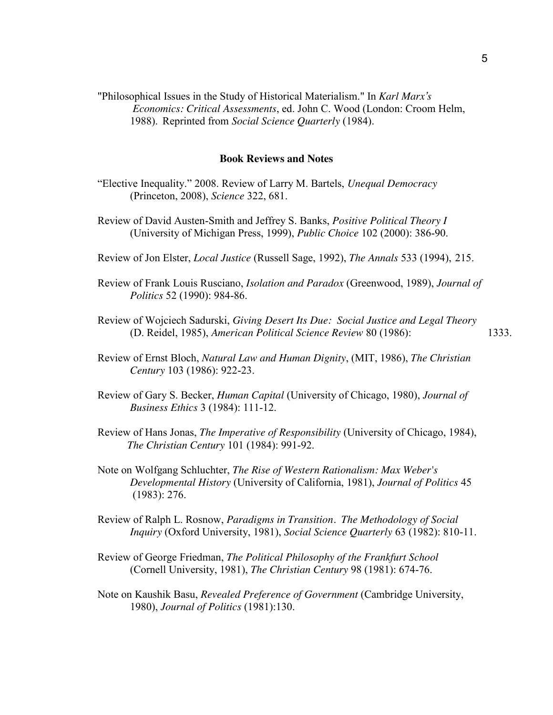"Philosophical Issues in the Study of Historical Materialism." In *Karl Marx's Economics: Critical Assessments*, ed. John C. Wood (London: Croom Helm, 1988). Reprinted from *Social Science Quarterly* (1984).

#### **Book Reviews and Notes**

- "Elective Inequality." 2008. Review of Larry M. Bartels, *Unequal Democracy* (Princeton, 2008), *Science* 322, 681.
- Review of David Austen-Smith and Jeffrey S. Banks, *Positive Political Theory I* (University of Michigan Press, 1999), *Public Choice* 102 (2000): 386-90.
- Review of Jon Elster, *Local Justice* (Russell Sage, 1992), *The Annals* 533 (1994), 215.
- Review of Frank Louis Rusciano, *Isolation and Paradox* (Greenwood, 1989), *Journal of Politics* 52 (1990): 984-86.
- Review of Wojciech Sadurski, *Giving Desert Its Due: Social Justice and Legal Theory* (D. Reidel, 1985), *American Political Science Review* 80 (1986): 1333.
- Review of Ernst Bloch, *Natural Law and Human Dignity*, (MIT, 1986), *The Christian Century* 103 (1986): 922-23.
- Review of Gary S. Becker, *Human Capital* (University of Chicago, 1980), *Journal of Business Ethics* 3 (1984): 111-12.
- Review of Hans Jonas, *The Imperative of Responsibility* (University of Chicago, 1984), *The Christian Century* 101 (1984): 991-92.
- Note on Wolfgang Schluchter, *The Rise of Western Rationalism: Max Weber's Developmental History* (University of California, 1981), *Journal of Politics* 45 (1983): 276.
- Review of Ralph L. Rosnow, *Paradigms in Transition. The Methodology of Social Inquiry* (Oxford University, 1981), *Social Science Quarterly* 63 (1982): 810-11.
- Review of George Friedman, *The Political Philosophy of the Frankfurt School* (Cornell University, 1981), *The Christian Century* 98 (1981): 674-76.
- Note on Kaushik Basu, *Revealed Preference of Government* (Cambridge University, 1980), *Journal of Politics* (1981):130.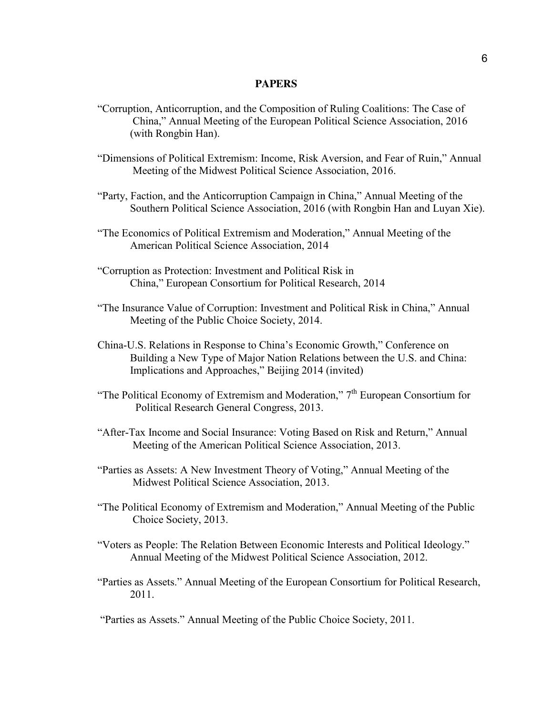#### **PAPERS**

- "Corruption, Anticorruption, and the Composition of Ruling Coalitions: The Case of China," Annual Meeting of the European Political Science Association, 2016 (with Rongbin Han).
- "Dimensions of Political Extremism: Income, Risk Aversion, and Fear of Ruin," Annual Meeting of the Midwest Political Science Association, 2016.
- "Party, Faction, and the Anticorruption Campaign in China," Annual Meeting of the Southern Political Science Association, 2016 (with Rongbin Han and Luyan Xie).
- "The Economics of Political Extremism and Moderation," Annual Meeting of the American Political Science Association, 2014
- "Corruption as Protection: Investment and Political Risk in China," European Consortium for Political Research, 2014
- "The Insurance Value of Corruption: Investment and Political Risk in China," Annual Meeting of the Public Choice Society, 2014.
- China-U.S. Relations in Response to China's Economic Growth," Conference on Building a New Type of Major Nation Relations between the U.S. and China: Implications and Approaches," Beijing 2014 (invited)
- "The Political Economy of Extremism and Moderation,"  $7<sup>th</sup>$  European Consortium for Political Research General Congress, 2013.
- "After-Tax Income and Social Insurance: Voting Based on Risk and Return," Annual Meeting of the American Political Science Association, 2013.
- "Parties as Assets: A New Investment Theory of Voting," Annual Meeting of the Midwest Political Science Association, 2013.
- "The Political Economy of Extremism and Moderation," Annual Meeting of the Public Choice Society, 2013.
- "Voters as People: The Relation Between Economic Interests and Political Ideology." Annual Meeting of the Midwest Political Science Association, 2012.
- "Parties as Assets." Annual Meeting of the European Consortium for Political Research, 2011.

"Parties as Assets." Annual Meeting of the Public Choice Society, 2011.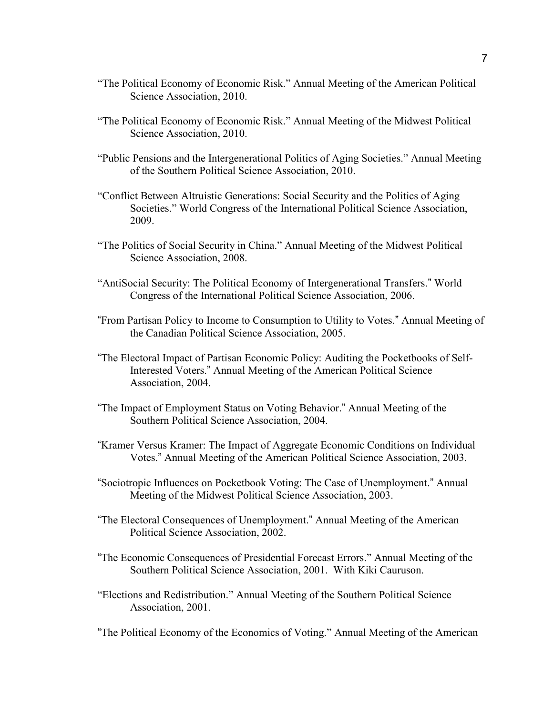- "The Political Economy of Economic Risk." Annual Meeting of the American Political Science Association, 2010.
- "The Political Economy of Economic Risk." Annual Meeting of the Midwest Political Science Association, 2010.
- "Public Pensions and the Intergenerational Politics of Aging Societies." Annual Meeting of the Southern Political Science Association, 2010.
- "Conflict Between Altruistic Generations: Social Security and the Politics of Aging Societies." World Congress of the International Political Science Association, 2009.
- "The Politics of Social Security in China." Annual Meeting of the Midwest Political Science Association, 2008.
- "AntiSocial Security: The Political Economy of Intergenerational Transfers." World Congress of the International Political Science Association, 2006.
- "From Partisan Policy to Income to Consumption to Utility to Votes." Annual Meeting of the Canadian Political Science Association, 2005.
- "The Electoral Impact of Partisan Economic Policy: Auditing the Pocketbooks of Self-Interested Voters." Annual Meeting of the American Political Science Association, 2004.
- "The Impact of Employment Status on Voting Behavior." Annual Meeting of the Southern Political Science Association, 2004.
- "Kramer Versus Kramer: The Impact of Aggregate Economic Conditions on Individual Votes." Annual Meeting of the American Political Science Association, 2003.
- "Sociotropic Influences on Pocketbook Voting: The Case of Unemployment." Annual Meeting of the Midwest Political Science Association, 2003.
- "The Electoral Consequences of Unemployment." Annual Meeting of the American Political Science Association, 2002.
- "The Economic Consequences of Presidential Forecast Errors." Annual Meeting of the Southern Political Science Association, 2001. With Kiki Cauruson.
- "Elections and Redistribution." Annual Meeting of the Southern Political Science Association, 2001.

"The Political Economy of the Economics of Voting." Annual Meeting of the American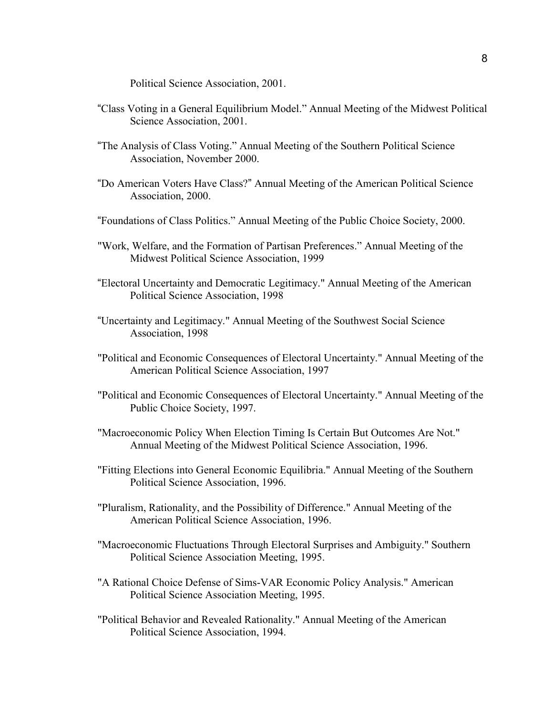Political Science Association, 2001.

- "Class Voting in a General Equilibrium Model." Annual Meeting of the Midwest Political Science Association, 2001.
- "The Analysis of Class Voting." Annual Meeting of the Southern Political Science Association, November 2000.
- "Do American Voters Have Class?" Annual Meeting of the American Political Science Association, 2000.
- "Foundations of Class Politics." Annual Meeting of the Public Choice Society, 2000.
- "Work, Welfare, and the Formation of Partisan Preferences." Annual Meeting of the Midwest Political Science Association, 1999
- "Electoral Uncertainty and Democratic Legitimacy." Annual Meeting of the American Political Science Association, 1998
- "Uncertainty and Legitimacy." Annual Meeting of the Southwest Social Science Association, 1998
- "Political and Economic Consequences of Electoral Uncertainty." Annual Meeting of the American Political Science Association, 1997
- "Political and Economic Consequences of Electoral Uncertainty." Annual Meeting of the Public Choice Society, 1997.
- "Macroeconomic Policy When Election Timing Is Certain But Outcomes Are Not." Annual Meeting of the Midwest Political Science Association, 1996.
- "Fitting Elections into General Economic Equilibria." Annual Meeting of the Southern Political Science Association, 1996.
- "Pluralism, Rationality, and the Possibility of Difference." Annual Meeting of the American Political Science Association, 1996.
- "Macroeconomic Fluctuations Through Electoral Surprises and Ambiguity." Southern Political Science Association Meeting, 1995.
- "A Rational Choice Defense of Sims-VAR Economic Policy Analysis." American Political Science Association Meeting, 1995.
- "Political Behavior and Revealed Rationality." Annual Meeting of the American Political Science Association, 1994.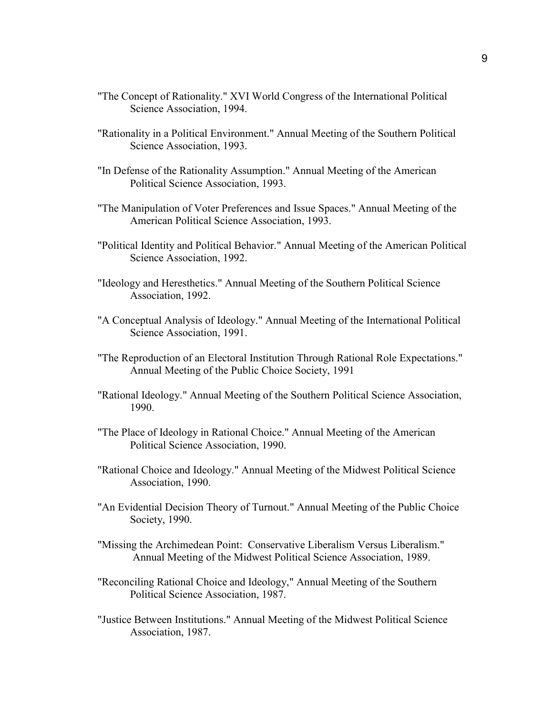- "The Concept of Rationality." XVI World Congress of the International Political Science Association, 1994.
- "Rationality in a Political Environment." Annual Meeting of the Southern Political Science Association, 1993.
- "In Defense of the Rationality Assumption." Annual Meeting of the American Political Science Association, 1993.
- "The Manipulation of Voter Preferences and Issue Spaces." Annual Meeting of the American Political Science Association, 1993.
- "Political Identity and Political Behavior." Annual Meeting of the American Political Science Association, 1992.
- "Ideology and Heresthetics." Annual Meeting of the Southern Political Science Association, 1992.
- "A Conceptual Analysis of Ideology." Annual Meeting of the International Political Science Association, 1991.
- "The Reproduction of an Electoral Institution Through Rational Role Expectations." Annual Meeting of the Public Choice Society, 1991
- "Rational Ideology." Annual Meeting of the Southern Political Science Association, 1990.
- "The Place of Ideology in Rational Choice." Annual Meeting of the American Political Science Association, 1990.
- "Rational Choice and Ideology." Annual Meeting of the Midwest Political Science Association, 1990.
- "An Evidential Decision Theory of Turnout." Annual Meeting of the Public Choice Society, 1990.
- "Missing the Archimedean Point: Conservative Liberalism Versus Liberalism." Annual Meeting of the Midwest Political Science Association, 1989.
- "Reconciling Rational Choice and Ideology," Annual Meeting of the Southern Political Science Association, 1987.
- "Justice Between Institutions." Annual Meeting of the Midwest Political Science Association, 1987.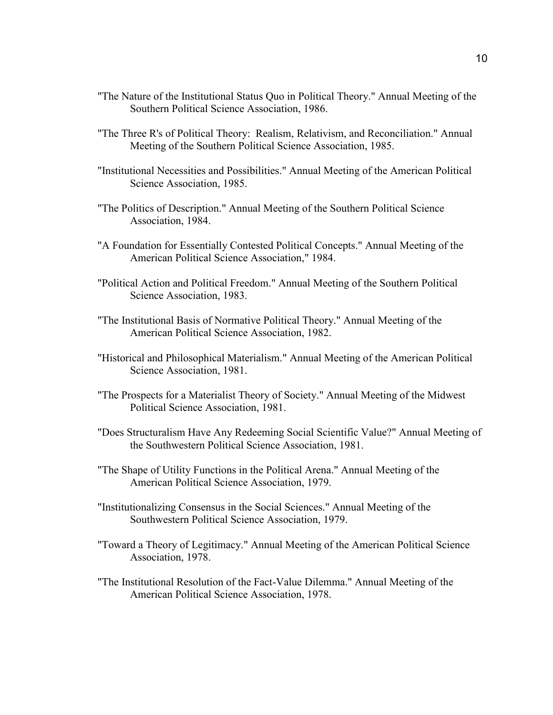- "The Nature of the Institutional Status Quo in Political Theory." Annual Meeting of the Southern Political Science Association, 1986.
- "The Three R's of Political Theory: Realism, Relativism, and Reconciliation." Annual Meeting of the Southern Political Science Association, 1985.
- "Institutional Necessities and Possibilities." Annual Meeting of the American Political Science Association, 1985.
- "The Politics of Description." Annual Meeting of the Southern Political Science Association, 1984.
- "A Foundation for Essentially Contested Political Concepts." Annual Meeting of the American Political Science Association," 1984.
- "Political Action and Political Freedom." Annual Meeting of the Southern Political Science Association, 1983.
- "The Institutional Basis of Normative Political Theory." Annual Meeting of the American Political Science Association, 1982.
- "Historical and Philosophical Materialism." Annual Meeting of the American Political Science Association, 1981.
- "The Prospects for a Materialist Theory of Society." Annual Meeting of the Midwest Political Science Association, 1981.
- "Does Structuralism Have Any Redeeming Social Scientific Value?" Annual Meeting of the Southwestern Political Science Association, 1981.
- "The Shape of Utility Functions in the Political Arena." Annual Meeting of the American Political Science Association, 1979.
- "Institutionalizing Consensus in the Social Sciences." Annual Meeting of the Southwestern Political Science Association, 1979.
- "Toward a Theory of Legitimacy." Annual Meeting of the American Political Science Association, 1978.
- "The Institutional Resolution of the Fact-Value Dilemma." Annual Meeting of the American Political Science Association, 1978.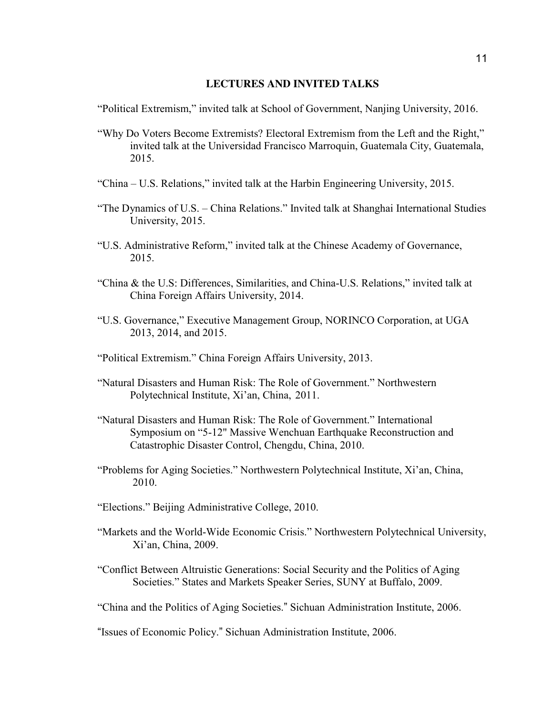#### **LECTURES AND INVITED TALKS**

"Political Extremism," invited talk at School of Government, Nanjing University, 2016.

- "Why Do Voters Become Extremists? Electoral Extremism from the Left and the Right," invited talk at the Universidad Francisco Marroquin, Guatemala City, Guatemala, 2015.
- "China U.S. Relations," invited talk at the Harbin Engineering University, 2015.
- "The Dynamics of U.S. China Relations." Invited talk at Shanghai International Studies University, 2015.
- "U.S. Administrative Reform," invited talk at the Chinese Academy of Governance, 2015.
- "China & the U.S: Differences, Similarities, and China-U.S. Relations," invited talk at China Foreign Affairs University, 2014.
- "U.S. Governance," Executive Management Group, NORINCO Corporation, at UGA 2013, 2014, and 2015.
- "Political Extremism." China Foreign Affairs University, 2013.
- "Natural Disasters and Human Risk: The Role of Government." Northwestern Polytechnical Institute, Xi'an, China, 2011.
- "Natural Disasters and Human Risk: The Role of Government." International Symposium on "5-12" Massive Wenchuan Earthquake Reconstruction and Catastrophic Disaster Control, Chengdu, China, 2010.
- "Problems for Aging Societies." Northwestern Polytechnical Institute, Xi'an, China, 2010.
- "Elections." Beijing Administrative College, 2010.
- "Markets and the World-Wide Economic Crisis." Northwestern Polytechnical University, Xi'an, China, 2009.
- "Conflict Between Altruistic Generations: Social Security and the Politics of Aging Societies." States and Markets Speaker Series, SUNY at Buffalo, 2009.

"China and the Politics of Aging Societies." Sichuan Administration Institute, 2006.

<sup>&</sup>quot;Issues of Economic Policy." Sichuan Administration Institute, 2006.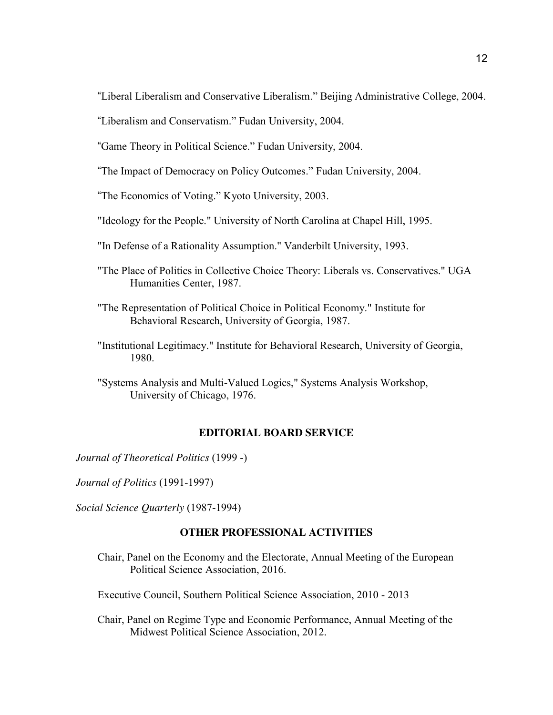"Liberal Liberalism and Conservative Liberalism." Beijing Administrative College, 2004.

"Liberalism and Conservatism." Fudan University, 2004.

"Game Theory in Political Science." Fudan University, 2004.

"The Impact of Democracy on Policy Outcomes." Fudan University, 2004.

"The Economics of Voting." Kyoto University, 2003.

"Ideology for the People." University of North Carolina at Chapel Hill, 1995.

- "In Defense of a Rationality Assumption." Vanderbilt University, 1993.
- "The Place of Politics in Collective Choice Theory: Liberals vs. Conservatives." UGA Humanities Center, 1987.
- "The Representation of Political Choice in Political Economy." Institute for Behavioral Research, University of Georgia, 1987.
- "Institutional Legitimacy." Institute for Behavioral Research, University of Georgia, 1980.

"Systems Analysis and Multi-Valued Logics," Systems Analysis Workshop, University of Chicago, 1976.

# **EDITORIAL BOARD SERVICE**

*Journal of Theoretical Politics* (1999 -)

*Journal of Politics* (1991-1997)

*Social Science Quarterly* (1987-1994)

# **OTHER PROFESSIONAL ACTIVITIES**

Chair, Panel on the Economy and the Electorate, Annual Meeting of the European Political Science Association, 2016.

Executive Council, Southern Political Science Association, 2010 - 2013

Chair, Panel on Regime Type and Economic Performance, Annual Meeting of the Midwest Political Science Association, 2012.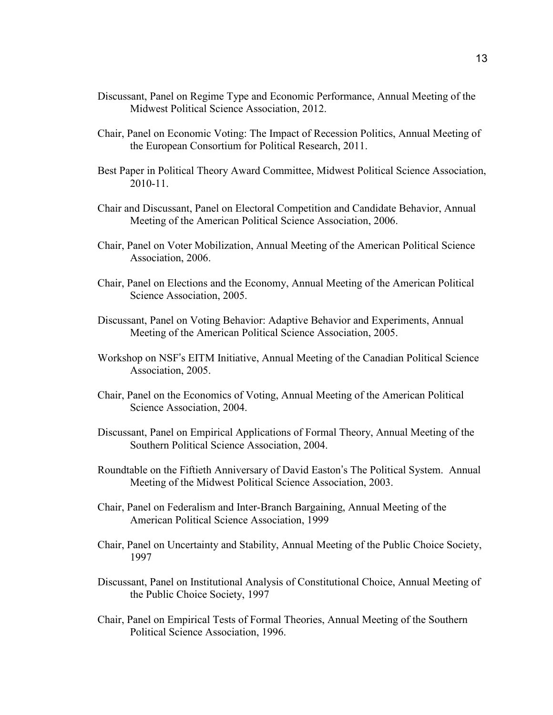- Discussant, Panel on Regime Type and Economic Performance, Annual Meeting of the Midwest Political Science Association, 2012.
- Chair, Panel on Economic Voting: The Impact of Recession Politics, Annual Meeting of the European Consortium for Political Research, 2011.
- Best Paper in Political Theory Award Committee, Midwest Political Science Association, 2010-11.
- Chair and Discussant, Panel on Electoral Competition and Candidate Behavior, Annual Meeting of the American Political Science Association, 2006.
- Chair, Panel on Voter Mobilization, Annual Meeting of the American Political Science Association, 2006.
- Chair, Panel on Elections and the Economy, Annual Meeting of the American Political Science Association, 2005.
- Discussant, Panel on Voting Behavior: Adaptive Behavior and Experiments, Annual Meeting of the American Political Science Association, 2005.
- Workshop on NSF's EITM Initiative, Annual Meeting of the Canadian Political Science Association, 2005.
- Chair, Panel on the Economics of Voting, Annual Meeting of the American Political Science Association, 2004.
- Discussant, Panel on Empirical Applications of Formal Theory, Annual Meeting of the Southern Political Science Association, 2004.
- Roundtable on the Fiftieth Anniversary of David Easton's The Political System. Annual Meeting of the Midwest Political Science Association, 2003.
- Chair, Panel on Federalism and Inter-Branch Bargaining, Annual Meeting of the American Political Science Association, 1999
- Chair, Panel on Uncertainty and Stability, Annual Meeting of the Public Choice Society, 1997
- Discussant, Panel on Institutional Analysis of Constitutional Choice, Annual Meeting of the Public Choice Society, 1997
- Chair, Panel on Empirical Tests of Formal Theories, Annual Meeting of the Southern Political Science Association, 1996.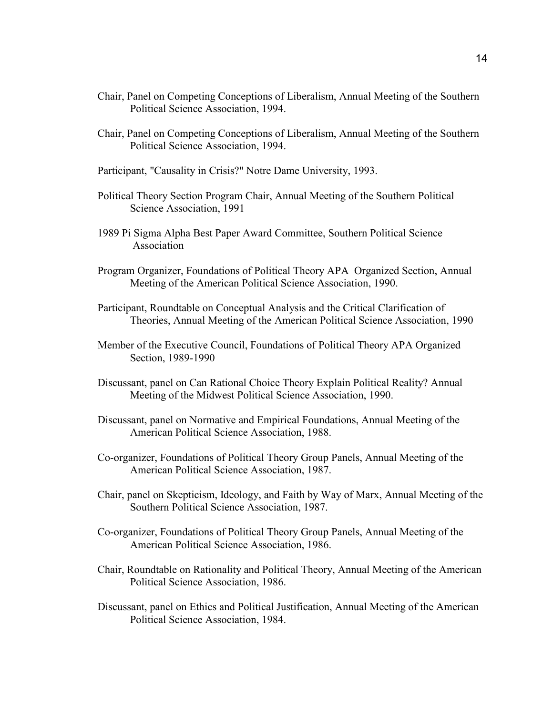- Chair, Panel on Competing Conceptions of Liberalism, Annual Meeting of the Southern Political Science Association, 1994.
- Chair, Panel on Competing Conceptions of Liberalism, Annual Meeting of the Southern Political Science Association, 1994.
- Participant, "Causality in Crisis?" Notre Dame University, 1993.
- Political Theory Section Program Chair, Annual Meeting of the Southern Political Science Association, 1991
- 1989 Pi Sigma Alpha Best Paper Award Committee, Southern Political Science Association
- Program Organizer, Foundations of Political Theory APA Organized Section, Annual Meeting of the American Political Science Association, 1990.
- Participant, Roundtable on Conceptual Analysis and the Critical Clarification of Theories, Annual Meeting of the American Political Science Association, 1990
- Member of the Executive Council, Foundations of Political Theory APA Organized Section, 1989-1990
- Discussant, panel on Can Rational Choice Theory Explain Political Reality? Annual Meeting of the Midwest Political Science Association, 1990.
- Discussant, panel on Normative and Empirical Foundations, Annual Meeting of the American Political Science Association, 1988.
- Co-organizer, Foundations of Political Theory Group Panels, Annual Meeting of the American Political Science Association, 1987.
- Chair, panel on Skepticism, Ideology, and Faith by Way of Marx, Annual Meeting of the Southern Political Science Association, 1987.
- Co-organizer, Foundations of Political Theory Group Panels, Annual Meeting of the American Political Science Association, 1986.
- Chair, Roundtable on Rationality and Political Theory, Annual Meeting of the American Political Science Association, 1986.
- Discussant, panel on Ethics and Political Justification, Annual Meeting of the American Political Science Association, 1984.